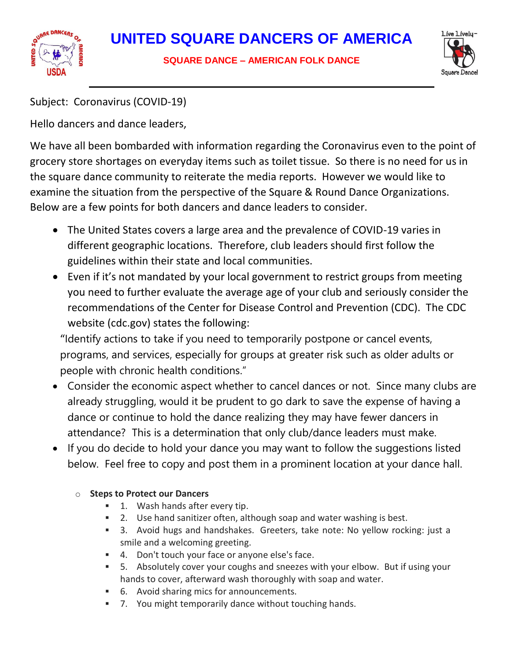



Subject: Coronavirus (COVID-19)

Hello dancers and dance leaders,

We have all been bombarded with information regarding the Coronavirus even to the point of grocery store shortages on everyday items such as toilet tissue. So there is no need for us in the square dance community to reiterate the media reports. However we would like to examine the situation from the perspective of the Square & Round Dance Organizations. Below are a few points for both dancers and dance leaders to consider.

- The United States covers a large area and the prevalence of COVID-19 varies in different geographic locations. Therefore, club leaders should first follow the guidelines within their state and local communities.
- Even if it's not mandated by your local government to restrict groups from meeting you need to further evaluate the average age of your club and seriously consider the recommendations of the Center for Disease Control and Prevention (CDC). The CDC website (cdc.gov) states the following:

"Identify actions to take if you need to temporarily postpone or cancel events, programs, and services, especially for groups at greater risk such as older adults or people with chronic health conditions."

- Consider the economic aspect whether to cancel dances or not. Since many clubs are already struggling, would it be prudent to go dark to save the expense of having a dance or continue to hold the dance realizing they may have fewer dancers in attendance? This is a determination that only club/dance leaders must make.
- If you do decide to hold your dance you may want to follow the suggestions listed below. Feel free to copy and post them in a prominent location at your dance hall.

## o **Steps to Protect our Dancers**

- **1.** Wash hands after every tip.
- 2. Use hand sanitizer often, although soap and water washing is best.
- 3. Avoid hugs and handshakes. Greeters, take note: No yellow rocking: just a smile and a welcoming greeting.
- 4. Don't touch your face or anyone else's face.
- 5. Absolutely cover your coughs and sneezes with your elbow. But if using your hands to cover, afterward wash thoroughly with soap and water.
- 6. Avoid sharing mics for announcements.
- 7. You might temporarily dance without touching hands.